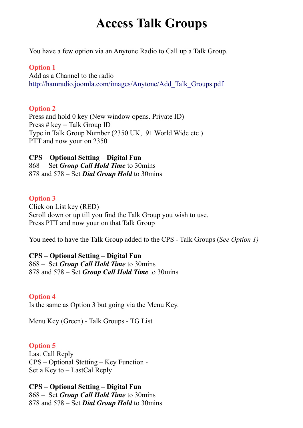# **Access Talk Groups**

You have a few option via an Anytone Radio to Call up a Talk Group.

#### **Option 1**

Add as a Channel to the radio [http://hamradio.joomla.com/images/Anytone/Add\\_Talk\\_Groups.pdf](http://hamradio.joomla.com/images/Anytone/Add_Talk_Groups.pdf)

#### **Option 2**

Press and hold 0 key (New window opens. Private ID) Press  $# \text{key} =$  Talk Group ID Type in Talk Group Number (2350 UK, 91 World Wide etc ) PTT and now your on 2350

# **CPS – Optional Setting – Digital Fun** 868 – Set *Group Call Hold Time* to 30mins

878 and 578 – Set *Dial Group Hold* to 30mins

## **Option 3**

Click on List key (RED) Scroll down or up till you find the Talk Group you wish to use. Press PTT and now your on that Talk Group

You need to have the Talk Group added to the CPS - Talk Groups (*See Option 1)*

#### **CPS – Optional Setting – Digital Fun**

868 – Set *Group Call Hold Time* to 30mins 878 and 578 – Set *Group Call Hold Time* to 30mins

## **Option 4**

Is the same as Option 3 but going via the Menu Key.

Menu Key (Green) - Talk Groups - TG List

## **Option 5**

Last Call Reply CPS – Optional Stetting – Key Function - Set a Key to – LastCal Reply

**CPS – Optional Setting – Digital Fun** 868 – Set *Group Call Hold Time* to 30mins 878 and 578 – Set *Dial Group Hold* to 30mins